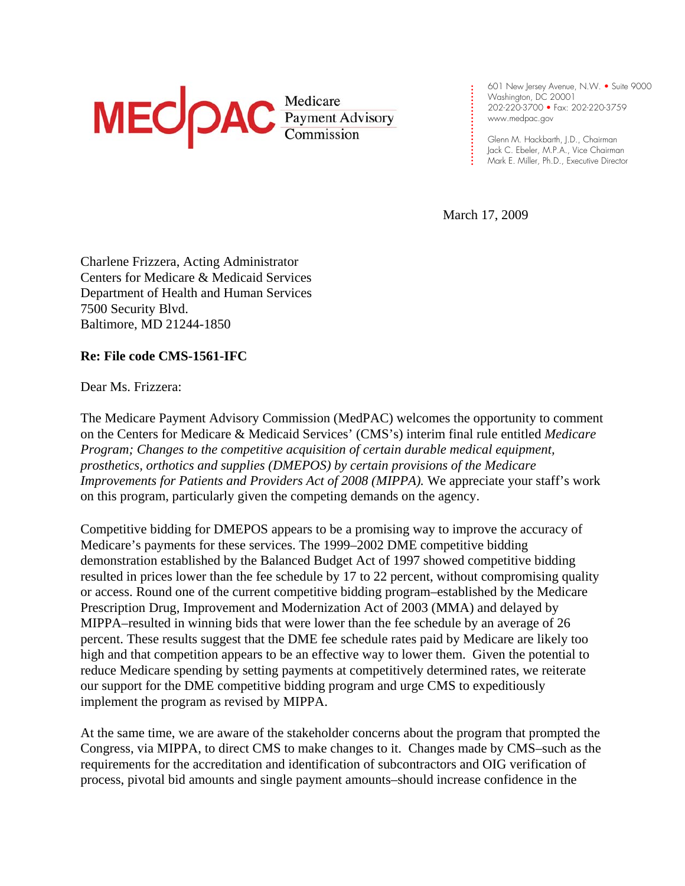

601 New Jersey Avenue, N.W. • Suite 9000 Washington, DC 20001 202-220-3700 • Fax: 202-220-3759 www.medpac.gov

Glenn M. Hackbarth, J.D., Chairman Jack C. Ebeler, M.P.A., Vice Chairman Mark E. Miller, Ph.D., Executive Director

March 17, 2009

**. . . . . . . . . . . . .** 

**. . . . . . . . . .**

Charlene Frizzera, Acting Administrator Centers for Medicare & Medicaid Services Department of Health and Human Services 7500 Security Blvd. Baltimore, MD 21244-1850

**Re: File code CMS-1561-IFC** 

Dear Ms. Frizzera:

The Medicare Payment Advisory Commission (MedPAC) welcomes the opportunity to comment on the Centers for Medicare & Medicaid Services' (CMS's) interim final rule entitled *Medicare Program; Changes to the competitive acquisition of certain durable medical equipment, prosthetics, orthotics and supplies (DMEPOS) by certain provisions of the Medicare Improvements for Patients and Providers Act of 2008 (MIPPA).* We appreciate your staff's work on this program, particularly given the competing demands on the agency.

Competitive bidding for DMEPOS appears to be a promising way to improve the accuracy of Medicare's payments for these services. The 1999–2002 DME competitive bidding demonstration established by the Balanced Budget Act of 1997 showed competitive bidding resulted in prices lower than the fee schedule by 17 to 22 percent, without compromising quality or access. Round one of the current competitive bidding program–established by the Medicare Prescription Drug, Improvement and Modernization Act of 2003 (MMA) and delayed by MIPPA–resulted in winning bids that were lower than the fee schedule by an average of 26 percent. These results suggest that the DME fee schedule rates paid by Medicare are likely too high and that competition appears to be an effective way to lower them. Given the potential to reduce Medicare spending by setting payments at competitively determined rates, we reiterate our support for the DME competitive bidding program and urge CMS to expeditiously implement the program as revised by MIPPA.

At the same time, we are aware of the stakeholder concerns about the program that prompted the Congress, via MIPPA, to direct CMS to make changes to it. Changes made by CMS–such as the requirements for the accreditation and identification of subcontractors and OIG verification of process, pivotal bid amounts and single payment amounts–should increase confidence in the